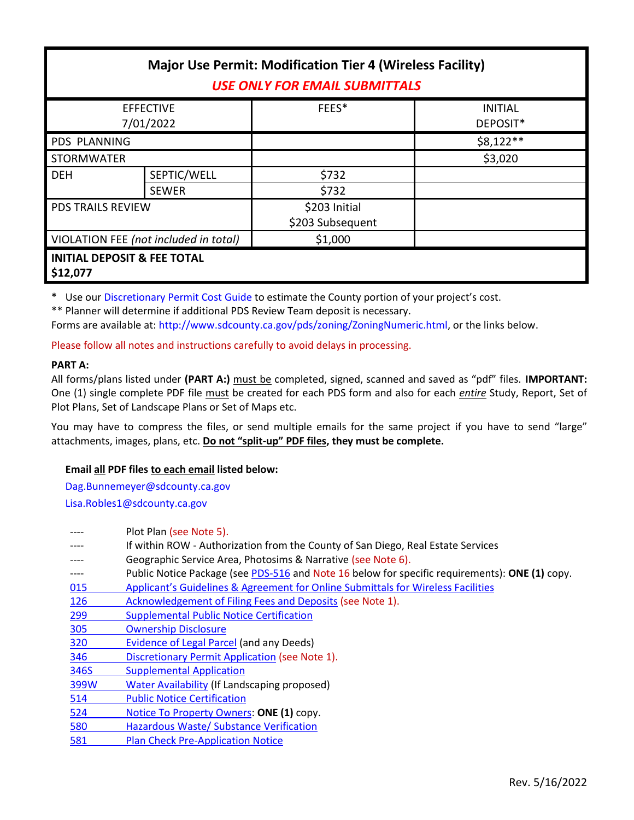| <b>Major Use Permit: Modification Tier 4 (Wireless Facility)</b><br><b>USE ONLY FOR EMAIL SUBMITTALS</b> |              |                  |                            |  |
|----------------------------------------------------------------------------------------------------------|--------------|------------------|----------------------------|--|
| <b>EFFECTIVE</b><br>7/01/2022                                                                            |              | FEES*            | <b>INITIAL</b><br>DEPOSIT* |  |
| <b>PDS PLANNING</b>                                                                                      |              |                  | $$8,122**$                 |  |
| <b>STORMWATER</b>                                                                                        |              |                  | \$3,020                    |  |
| <b>DEH</b>                                                                                               | SEPTIC/WELL  | \$732            |                            |  |
|                                                                                                          | <b>SEWER</b> | \$732            |                            |  |
| <b>PDS TRAILS REVIEW</b>                                                                                 |              | \$203 Initial    |                            |  |
|                                                                                                          |              | \$203 Subsequent |                            |  |
| VIOLATION FEE (not included in total)                                                                    |              | \$1,000          |                            |  |
| <b>INITIAL DEPOSIT &amp; FEE TOTAL</b><br>\$12,077                                                       |              |                  |                            |  |

\* Use our [Discretionary Permit Cost Guide](http://www.sandiegocounty.gov/content/dam/sdc/pds/docs/Discretionary_Permit_Cost_Guide.xlsx) to estimate the County portion of your project's cost.

\*\* Planner will determine if additional PDS Review Team deposit is necessary.

Forms are available at: [http://www.sdcounty.ca.gov/pds/zoning/ZoningNumeric.html,](http://www.sdcounty.ca.gov/pds/zoning/ZoningNumeric.html) or the links below.

Please follow all notes and instructions carefully to avoid delays in processing.

# **PART A:**

All forms/plans listed under **(PART A:)** must be completed, signed, scanned and saved as "pdf" files. **IMPORTANT:** One (1) single complete PDF file must be created for each PDS form and also for each *entire* Study, Report, Set of Plot Plans, Set of Landscape Plans or Set of Maps etc.

You may have to compress the files, or send multiple emails for the same project if you have to send "large" attachments, images, plans, etc. **Do not "split-up" PDF files, they must be complete.**

# **Email all PDF files to each email listed below:**

[Dag.Bunnemeyer@sdcounty.ca.gov](mailto:Dag.Bunnemeyer@sdcounty.ca.gov) [Lisa.Robles1@sdcounty.ca.gov](mailto:Lisa.Robles1@sdcounty.ca.gov)

|            | Plot Plan (see Note 5).                                                                        |
|------------|------------------------------------------------------------------------------------------------|
|            | If within ROW - Authorization from the County of San Diego, Real Estate Services               |
|            | Geographic Service Area, Photosims & Narrative (see Note 6).                                   |
| ----       | Public Notice Package (see PDS-516 and Note 16 below for specific requirements): ONE (1) copy. |
| 015        | Applicant's Guidelines & Agreement for Online Submittals for Wireless Facilities               |
| 126        | Acknowledgement of Filing Fees and Deposits (see Note 1).                                      |
| <u>299</u> | <b>Supplemental Public Notice Certification</b>                                                |
| 305        | <b>Ownership Disclosure</b>                                                                    |
| 320        | Evidence of Legal Parcel (and any Deeds)                                                       |
| 346        | Discretionary Permit Application (see Note 1).                                                 |
| 346S       | <b>Supplemental Application</b>                                                                |
| 399W       | <b>Water Availability (If Landscaping proposed)</b>                                            |
| 514        | <b>Public Notice Certification</b>                                                             |
| 524        | Notice To Property Owners: ONE (1) copy.                                                       |
| 580        | Hazardous Waste/ Substance Verification                                                        |
| 581        | <b>Plan Check Pre-Application Notice</b>                                                       |
|            |                                                                                                |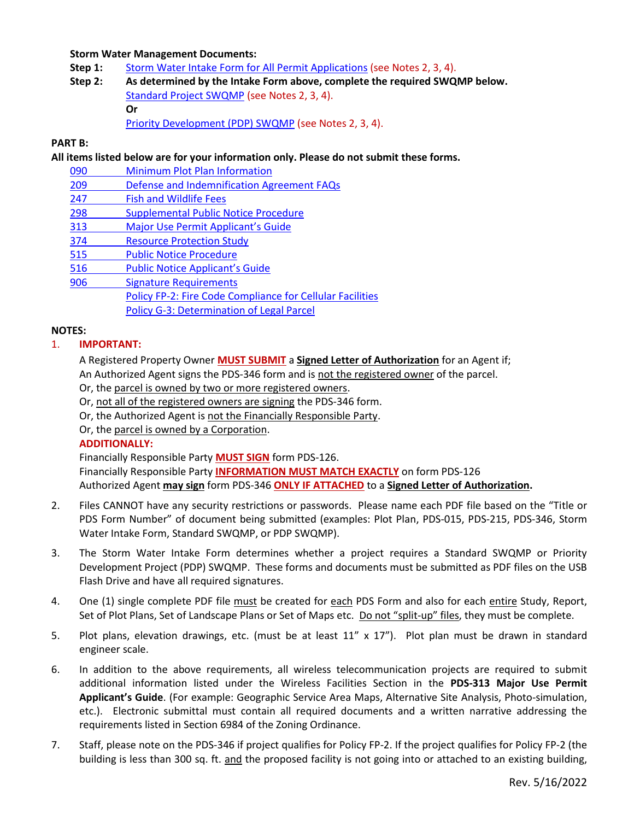## **Storm Water Management Documents:**

- Step 1: [Storm Water Intake Form for All](http://www.sandiegocounty.gov/content/dam/sdc/pds/zoning/formfields/SWQMP-Intake-Form.pdf) Permit Applications (see Notes 2, 3, 4).
- **Step 2: As determined by the Intake Form above, complete the required SWQMP below.** [Standard Project SWQMP](http://www.sandiegocounty.gov/content/dam/sdc/pds/zoning/formfields/SWQMP-Standard.pdf) (see Notes 2, 3, 4). **Or** [Priority Development \(PDP\) SWQMP](https://www.sandiegocounty.gov/content/sdc/dpw/watersheds/DevelopmentandConstruction/BMP_Design_Manual.html) (see Notes 2, 3, 4).

## **PART B:**

**All items listed below are for your information only. Please do not submit these forms.**

- 090 [Minimum Plot Plan Information](http://www.sdcounty.ca.gov/pds/docs/pds090.pdf)
- 209 [Defense and Indemnification Agreement FAQs](http://www.sdcounty.ca.gov/pds/zoning/formfields/PDS-PLN-209.pdf)
- [247 Fish and Wildlife](http://www.sdcounty.ca.gov/pds/zoning/formfields/PDS-PLN-247.pdf) Fees
- [298 Supplemental Public Notice Procedure](http://www.sdcounty.ca.gov/pds/zoning/formfields/PDS-PLN-298.pdf)
- 313 Major Use Per[mit Applicant's G](http://www.sdcounty.ca.gov/pds/zoning/formfields/PDS-PLN-313.pdf)uide
- [374 Resource Protection Study](http://www.sdcounty.ca.gov/pds/zoning/formfields/PDS-PLN-374.pdf)
- [515 Public Notice Procedure](http://www.sdcounty.ca.gov/pds/zoning/formfields/PDS-PLN-515.pdf)
- 516 [Public Notice Applicant's Guide](http://www.sdcounty.ca.gov/pds/zoning/formfields/PDS-PLN-516.pdf)
- 906 Signature Requirements
	- [Policy FP-2: Fire Code Compliance for Cellular Facilities](http://www.sdcounty.ca.gov/pds/zoning/formfields/POLICY-FP-2-2015.pdf)
		- [Policy G-3: Determination of Legal Parcel](http://www.sandiegocounty.gov/content/dam/sdc/pds/zoning/formfields/POLICY-G-3.pdf)

#### **NOTES:**

#### 1. **IMPORTANT:**

- A Registered Property Owner **MUST SUBMIT** a **Signed Letter of Authorization** for an Agent if; An Authorized Agent signs the PDS-346 form and is not the registered owner of the parcel.
- Or, the parcel is owned by two or more registered owners.
- Or, not all of the registered owners are signing the PDS-346 form.
- Or, the Authorized Agent is not the Financially Responsible Party.
- Or, the parcel is owned by a Corporation.

## **ADDITIONALLY:**

Financially Responsible Party **MUST SIGN** form PDS-126. Financially Responsible Party **INFORMATION MUST MATCH EXACTLY** on form PDS-126 Authorized Agent **may sign** form PDS-346 **ONLY IF ATTACHED** to a **Signed Letter of Authorization.**

- 2. Files CANNOT have any security restrictions or passwords. Please name each PDF file based on the "Title or PDS Form Number" of document being submitted (examples: Plot Plan, PDS-015, PDS-215, PDS-346, Storm Water Intake Form, Standard SWQMP, or PDP SWQMP).
- 3. The Storm Water Intake Form determines whether a project requires a Standard SWQMP or Priority Development Project (PDP) SWQMP. These forms and documents must be submitted as PDF files on the USB Flash Drive and have all required signatures.
- 4. One (1) single complete PDF file must be created for each PDS Form and also for each entire Study, Report, Set of Plot Plans, Set of Landscape Plans or Set of Maps etc. Do not "split-up" files, they must be complete.
- 5. Plot plans, elevation drawings, etc. (must be at least 11" x 17"). Plot plan must be drawn in standard engineer scale.
- 6. In addition to the above requirements, all wireless telecommunication projects are required to submit additional information listed under the Wireless Facilities Section in the **PDS-313 Major Use Permit Applicant's Guide**. (For example: Geographic Service Area Maps, Alternative Site Analysis, Photo-simulation, etc.). Electronic submittal must contain all required documents and a written narrative addressing the requirements listed in Section 6984 of the Zoning Ordinance.
- 7. Staff, please note on the PDS-346 if project qualifies for Policy FP-2. If the project qualifies for Policy FP-2 (the building is less than 300 sq. ft. and the proposed facility is not going into or attached to an existing building,